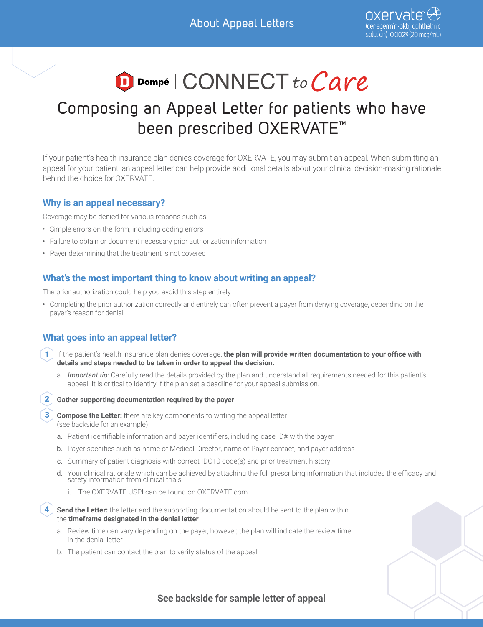# D Dompé | CONNECT to Care

# Composing an Appeal Letter for patients who have been prescribed OXERVATE™

If your patient's health insurance plan denies coverage for OXERVATE, you may submit an appeal. When submitting an appeal for your patient, an appeal letter can help provide additional details about your clinical decision-making rationale behind the choice for OXERVATE.

#### **Why is an appeal necessary?**

Coverage may be denied for various reasons such as:

- Simple errors on the form, including coding errors
- Failure to obtain or document necessary prior authorization information
- Payer determining that the treatment is not covered

### **What's the most important thing to know about writing an appeal?**

The prior authorization could help you avoid this step entirely

• Completing the prior authorization correctly and entirely can often prevent a payer from denying coverage, depending on the payer's reason for denial

## **What goes into an appeal letter?**

- 1 If the patient's health insurance plan denies coverage, the plan will provide written documentation to your office with **details and steps needed to be taken in order to appeal the decision.**
	- a. *Important tip:* Carefully read the details provided by the plan and understand all requirements needed for this patient's appeal. It is critical to identify if the plan set a deadline for your appeal submission.

#### **2** Gather supporting documentation required by the payer

**3** Compose the Letter: there are key components to writing the appeal letter (see backside for an example)

- a. Patient identifiable information and payer identifiers, including case ID# with the payer
- b. Payer specifics such as name of Medical Director, name of Payer contact, and payer address
- c. Summary of patient diagnosis with correct IDC10 code(s) and prior treatment history
- d. Your clinical rationale which can be achieved by attaching the full prescribing information that includes the efficacy and safety information from clinical trials
	- i. The OXERVATE USPI can be found on [OXERVATE.com](https://oxervate.com/pdf/OXERVATE_Prescribing_Information_102019.pdf)
- **Send the Letter:** the letter and the supporting documentation should be sent to the plan within the **timeframe designated in the denial letter** 4
	- a. Review time can vary depending on the payer, however, the plan will indicate the review time in the denial letter
	- b. The patient can contact the plan to verify status of the appeal

**See backside for sample letter of appeal**